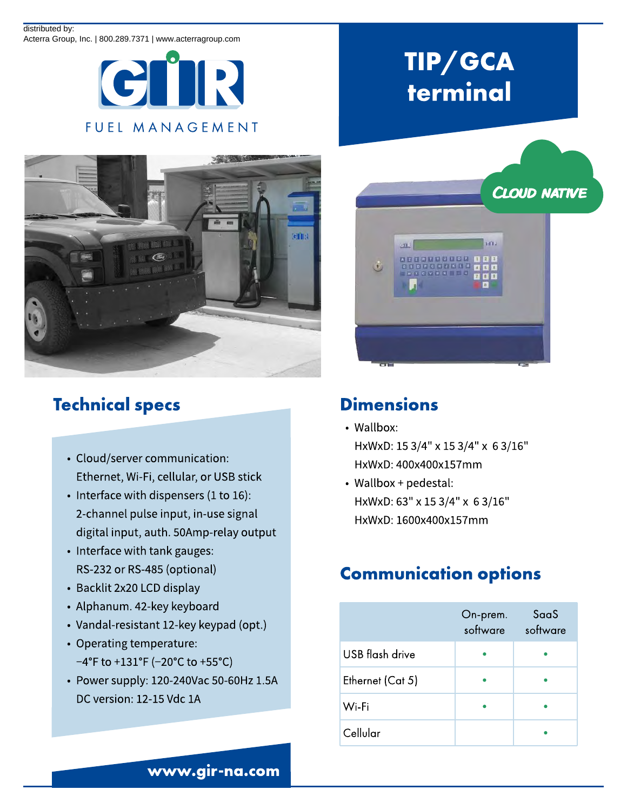#### distributed by:

Acterra Group, Inc. | 800.289.7371 | www.acterragroup.com





## Technical specs

- Cloud/server communication: Ethernet, Wi-Fi, cellular, or USB stick
- Interface with dispensers (1 to 16): 2-channel pulse input, in-use signal digital input, auth. 50Amp-relay output
- Interface with tank gauges: RS-232 or RS-485 (optional)
- Backlit 2x20 LCD display
- Alphanum. 42-key keyboard
- Vandal-resistant 12-key keypad (opt.)
- Operating temperature:  $-4^{\circ}$ F to +131 $^{\circ}$ F (-20 $^{\circ}$ C to +55 $^{\circ}$ C)
- Power supply: 120-240Vac 50-60Hz 1.5A DC version: 12-15 Vdc 1A

# TIP/ GCA terminal



#### **Dimensions**

- Wallbox: HxWxD: 15 3/4" x 15 3/4" x 6 3/16" HxWxD: 400x400x157mm
- Wallbox + pedestal: HxWxD: 63" x 15 3/4" x 6 3/16" HxWxD: 1600x400x157mm

## Communication options

|                  | On-prem.<br>software | SaaS<br>software |
|------------------|----------------------|------------------|
| USB flash drive  |                      |                  |
| Ethernet (Cat 5) |                      |                  |
| Wi-Fi            |                      |                  |
| Cellular         |                      |                  |

www.gir-na.com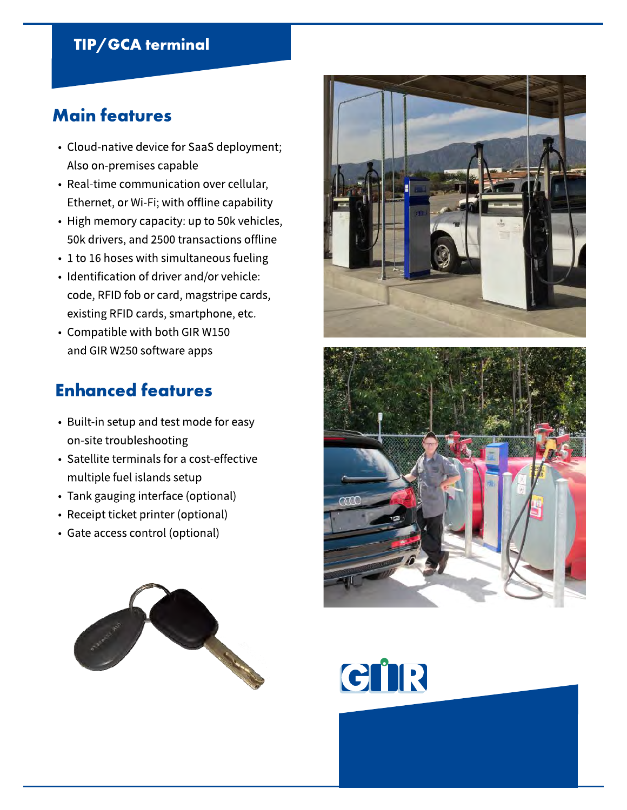#### TIP/ GCA terminal

#### Main features

- Cloud-native device for SaaS deployment; Also on-premises capable
- Real-time communication over cellular, Ethernet, or Wi-Fi; with offline capability
- High memory capacity: up to 50k vehicles, 50k drivers, and 2500 transactions offline
- 1 to 16 hoses with simultaneous fueling
- Identification of driver and/or vehicle: code, RFID fob or card, magstripe cards, existing RFID cards, smartphone, etc.
- Compatible with both GIR W150 and GIR W250 software apps

#### Enhanced features

- Built-in setup and test mode for easy on-site troubleshooting
- Satellite terminals for a cost-effective multiple fuel islands setup
- Tank gauging interface (optional)
- Receipt ticket printer (optional)
- Gate access control (optional)







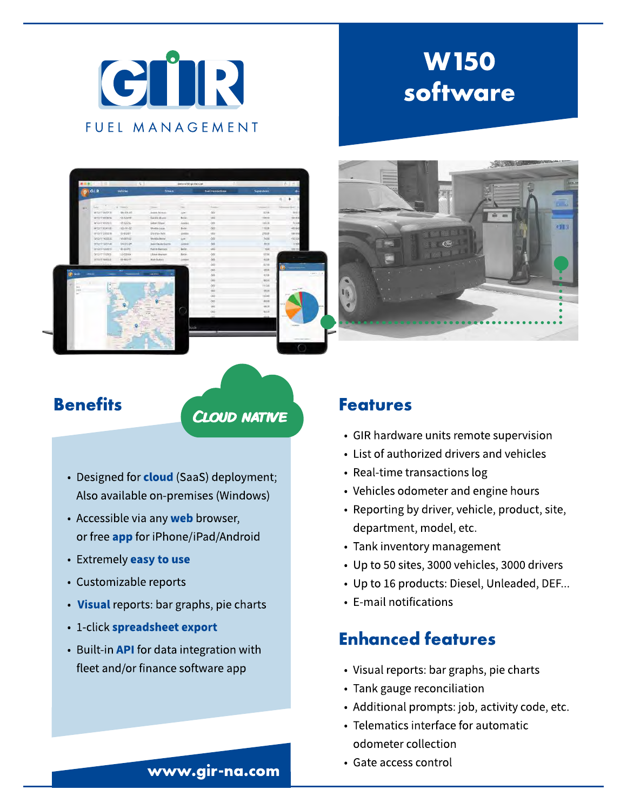

# W150 software



Benefits CLOUD NATIVE

- Designed for **cloud** (SaaS) deployment; Also available on-premises (Windows)
- Accessible via any web browser, or free **app** for iPhone/iPad/Android
- Extremely easy to use
- Customizable reports
- Visual reports: bar graphs, pie charts
- 1-click spreadsheet export
- Built-in **API** for data integration with fleet and/or finance software app

#### Features

- GIR hardware units remote supervision
- List of authorized drivers and vehicles
- Real-time transactions log
- Vehicles odometer and engine hours
- Reporting by driver, vehicle, product, site, department, model, etc.
- Tank inventory management
- Up to 50 sites, 3000 vehicles, 3000 drivers
- Up to 16 products: Diesel, Unleaded, DEF...
- E-mail notifications

### Enhanced features

- Visual reports: bar graphs, pie charts
- Tank gauge reconciliation
- Additional prompts: job, activity code, etc.
- Telematics interface for automatic odometer collection
- Gate access control

#### www.gir-na.com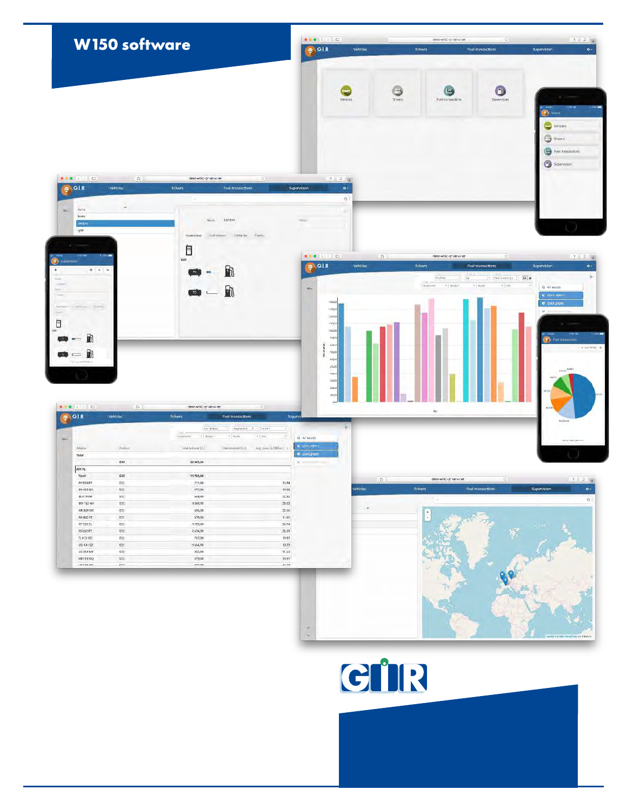